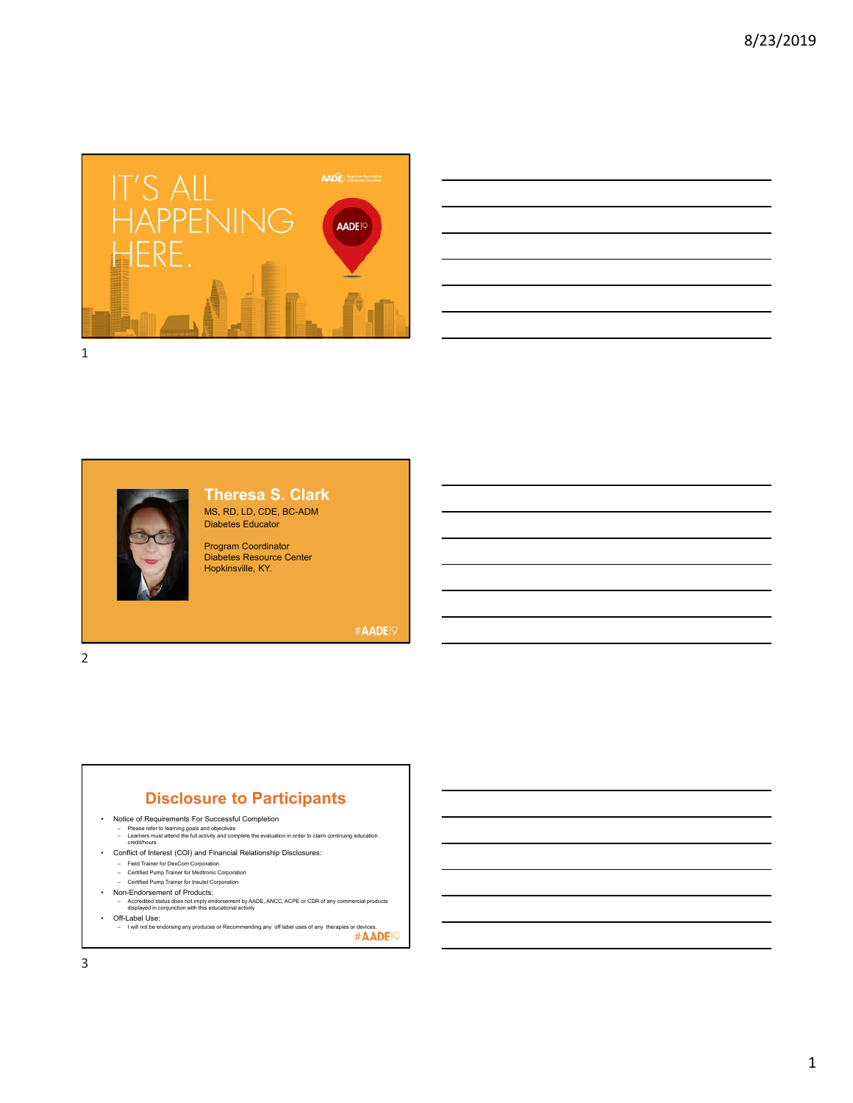





#### **Theresa S. Clark**  MS, RD, LD, CDE, BC-ADM Diabetes Educator

Program Coordinator Diabetes Resource Center Hopkinsville, KY.

#AADE19

**Disclosure to Participants**

- Notice of Requirements For Successful Completion
	- Please refer to learning goals and objectives Learners must attend the full activity and complete the evaluation in order to claim continuing education credit/hours
	-
- Conflict of Interest (COI) and Financial Relationship Disclosures:
	- Field Trainer for DexCom Corporation
	- Certified Pump Trainer for Medtronic Corporation Certified Pump Trainer for Insulet Corporation
	-
- Non-Endorsement of Products: Accredited status does not imply endorsement by AADE, ANCC, ACPE or CDR of any commercial products displayed in conjunction with this educational activity
- Off-Label Use:
- $\alpha$  I will not be endorsing any produces or Recommending any off label uses of any therapies or devices.<br>— I will not be endorsing any produces or Recommending any off label uses of any therapies or devices.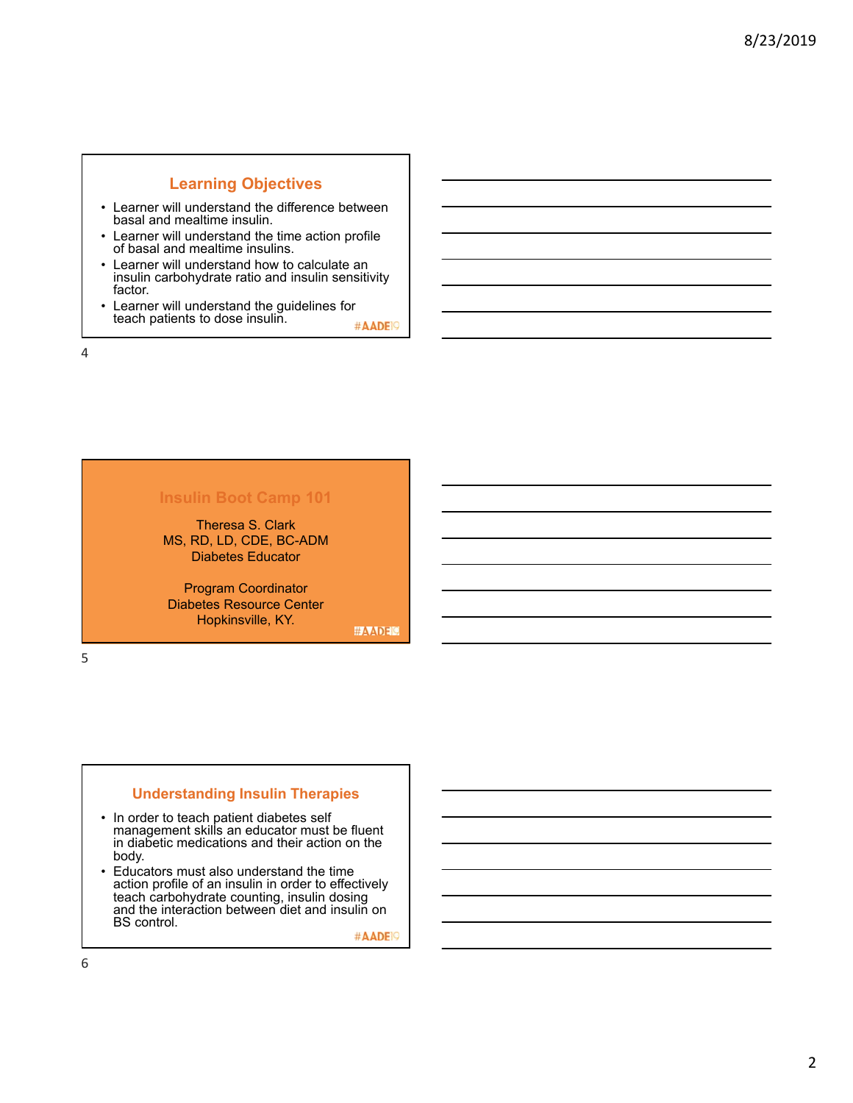# **Learning Objectives**

- Learner will understand the difference between basal and mealtime insulin.
- Learner will understand the time action profile of basal and mealtime insulins.
- Learner will understand how to calculate an insulin carbohydrate ratio and insulin sensitivity factor.
- Learner will understand the guidelines for teach patients to dose insulin. #AADE<sup>19</sup>

4

# **Insulin Boot Camp 101**

Theresa S. Clark MS, RD, LD, CDE, BC-ADM Diabetes Educator

Program Coordinator Diabetes Resource Center Hopkinsville, KY.

**#AADEM** 

5

### **Understanding Insulin Therapies**

- In order to teach patient diabetes self management skills an educator must be fluent in diabetic medications and their action on the body.
- Educators must also understand the time action profile of an insulin in order to effectively teach carbohydrate counting, insulin dosing and the interaction between diet and insulin on BS control.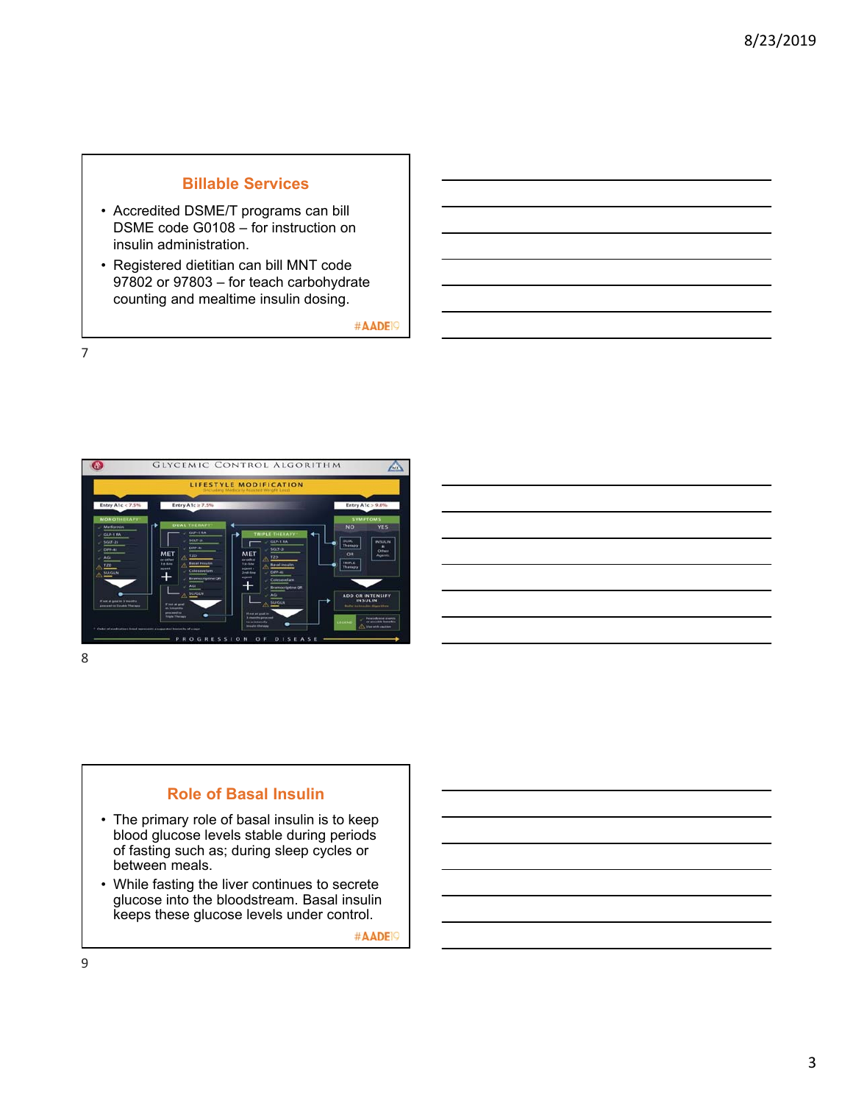# **Billable Services**

- Accredited DSME/T programs can bill DSME code G0108 – for instruction on insulin administration.
- Registered dietitian can bill MNT code 97802 or 97803 – for teach carbohydrate counting and mealtime insulin dosing.

#AADE<sup>19</sup>

7



8

### **Role of Basal Insulin**

- The primary role of basal insulin is to keep blood glucose levels stable during periods of fasting such as; during sleep cycles or between meals.
- While fasting the liver continues to secrete glucose into the bloodstream. Basal insulin keeps these glucose levels under control.

#AADE<sup>19</sup>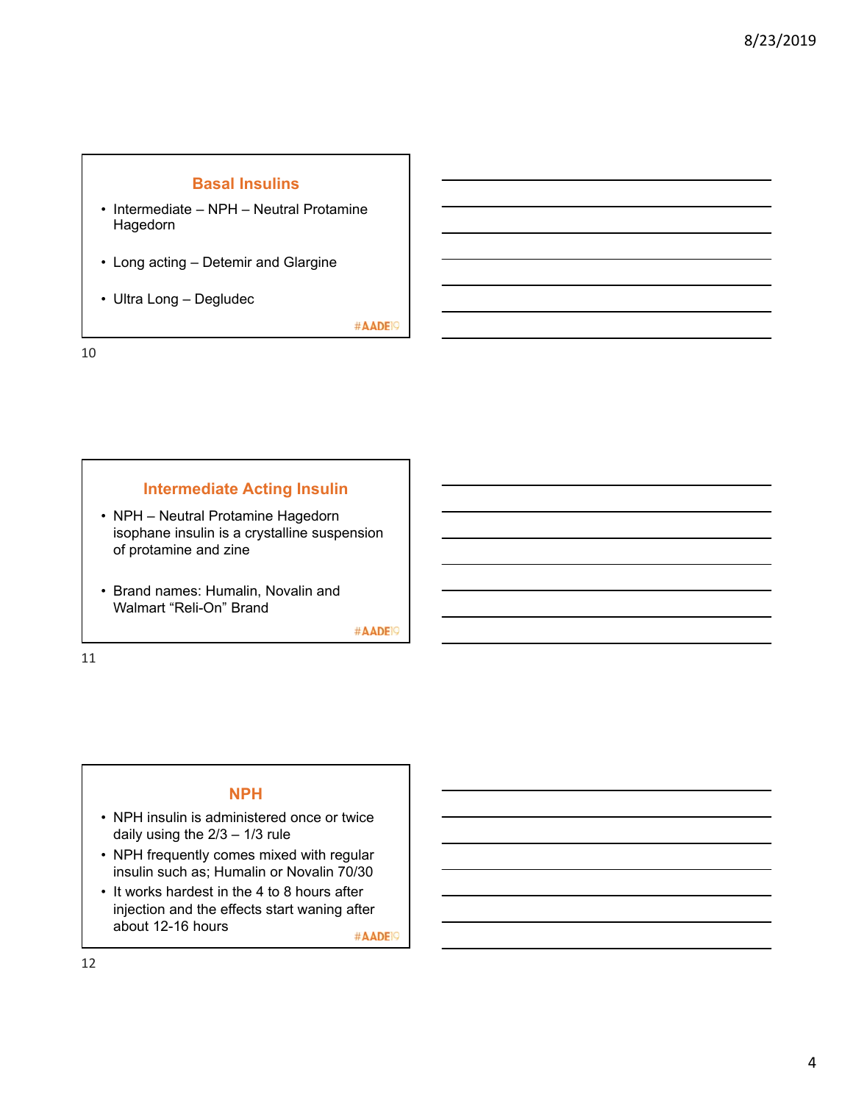# **Basal Insulins**

- Intermediate NPH Neutral Protamine Hagedorn
- Long acting Detemir and Glargine
- Ultra Long Degludec

#AADE<sup>19</sup>

10

### **Intermediate Acting Insulin**

- NPH Neutral Protamine Hagedorn isophane insulin is a crystalline suspension of protamine and zine
- Brand names: Humalin, Novalin and Walmart "Reli-On" Brand

#AADE<sup>19</sup>

11

### **NPH**

- NPH insulin is administered once or twice daily using the  $2/3 - 1/3$  rule
- NPH frequently comes mixed with regular insulin such as; Humalin or Novalin 70/30
- It works hardest in the 4 to 8 hours after injection and the effects start waning after about 12-16 hours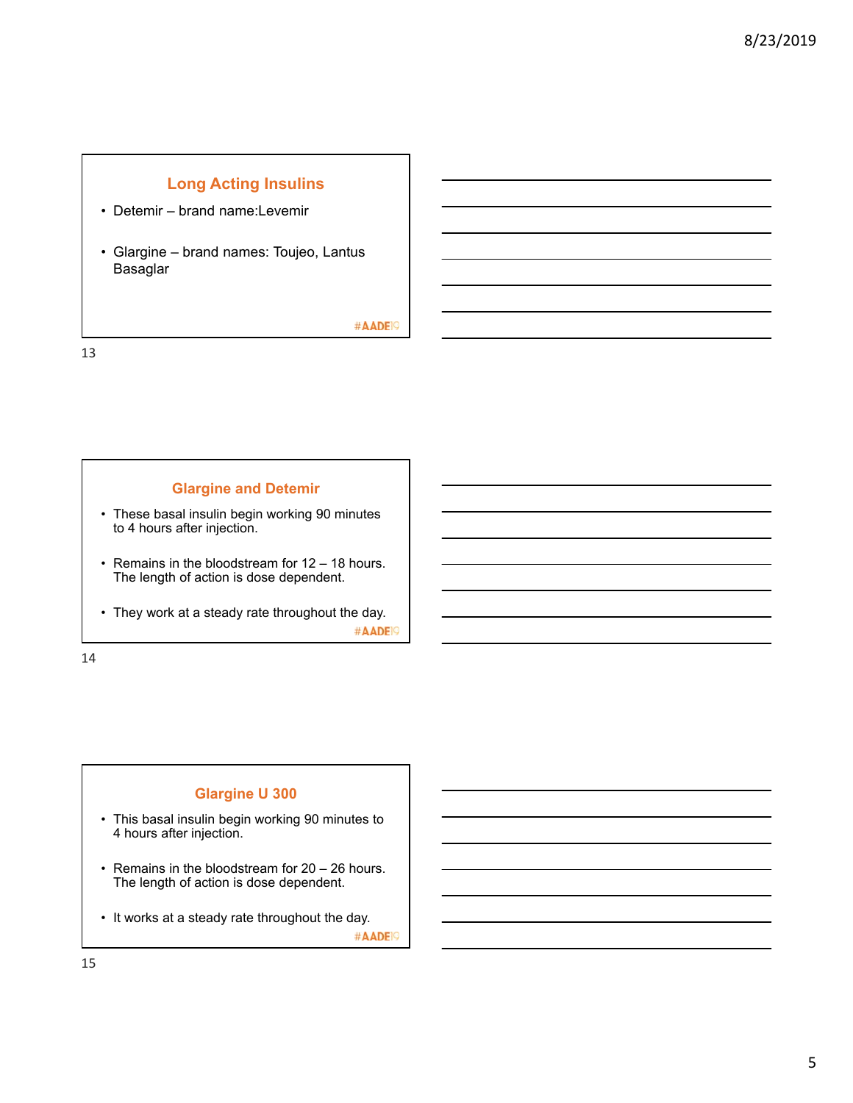# **Long Acting Insulins**

- Detemir brand name:Levemir
- Glargine brand names: Toujeo, Lantus Basaglar

#AADE<sup>19</sup>

13

### **Glargine and Detemir**

- These basal insulin begin working 90 minutes to 4 hours after injection.
- Remains in the bloodstream for 12 18 hours. The length of action is dose dependent.
- They work at a steady rate throughout the day. #AADE<sup>19</sup>

14

### **Glargine U 300**

- This basal insulin begin working 90 minutes to 4 hours after injection.
- Remains in the bloodstream for 20 26 hours. The length of action is dose dependent.
- It works at a steady rate throughout the day. #AADE<sup>19</sup>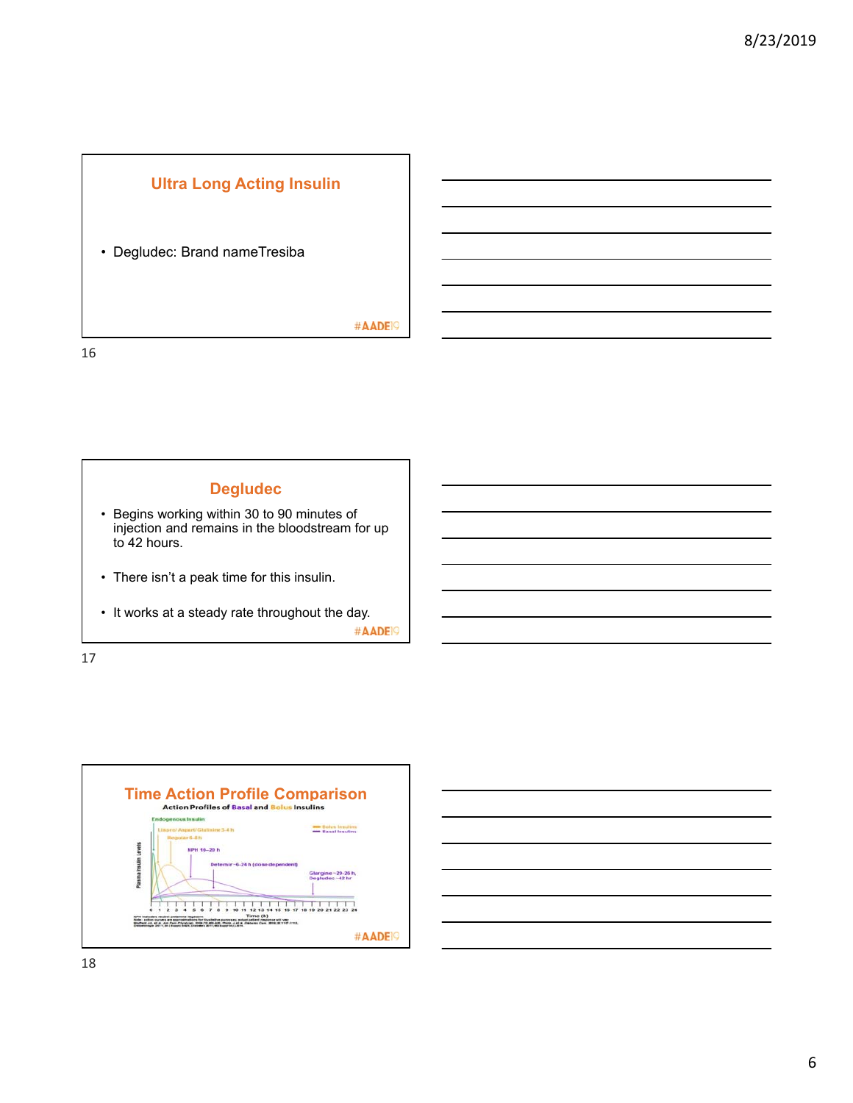

### • Degludec: Brand nameTresiba

#AADE<sup>19</sup>





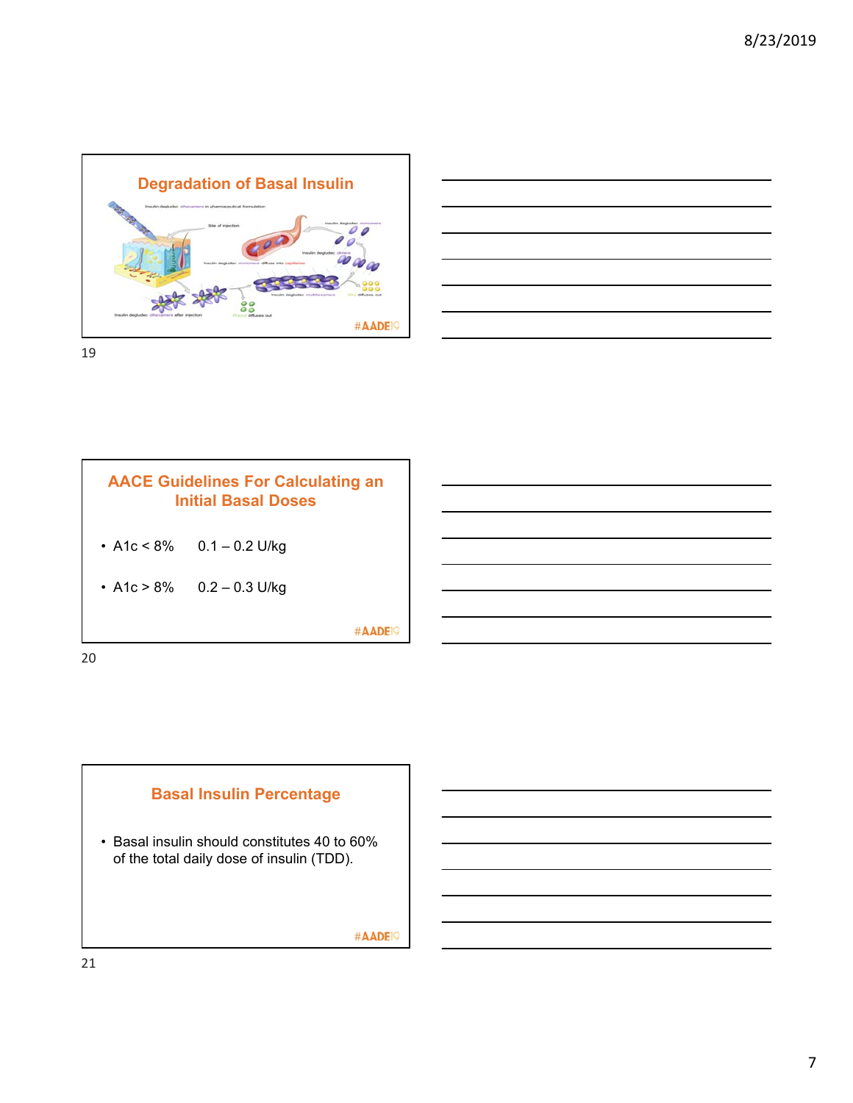



**AACE Guidelines For Calculating an Initial Basal Doses** • A1c <  $8\%$  0.1 – 0.2 U/kg • A1c > 8% 0.2 – 0.3 U/kg #AADE<sup>19</sup> 20

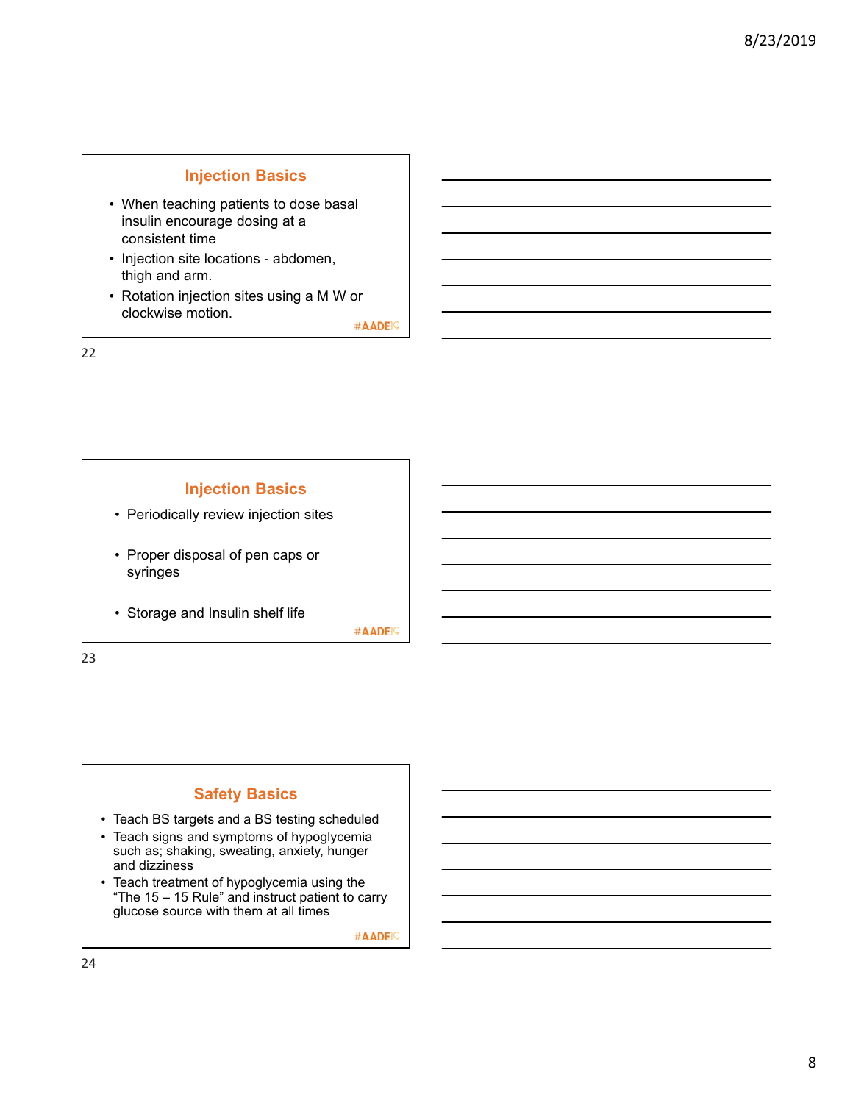# **Injection Basics**

- When teaching patients to dose basal insulin encourage dosing at a consistent time
- Injection site locations abdomen, thigh and arm.
- Rotation injection sites using a M W or clockwise motion.

#AADE<sup>19</sup>

22



#AADE<sup>19</sup>

23

# **Safety Basics**

- Teach BS targets and a BS testing scheduled
- Teach signs and symptoms of hypoglycemia such as; shaking, sweating, anxiety, hunger and dizziness
- Teach treatment of hypoglycemia using the "The 15 – 15 Rule" and instruct patient to carry glucose source with them at all times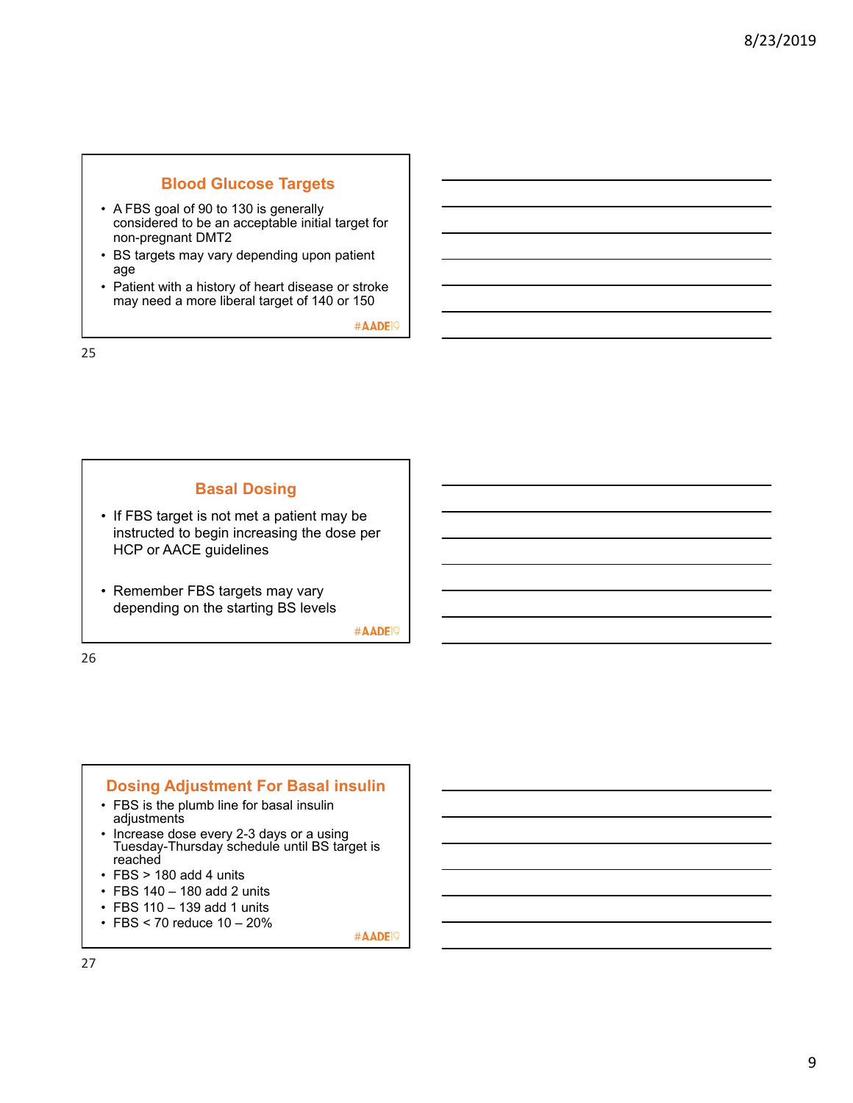# **Blood Glucose Targets**

- A FBS goal of 90 to 130 is generally considered to be an acceptable initial target for non-pregnant DMT2
- BS targets may vary depending upon patient age
- Patient with a history of heart disease or stroke may need a more liberal target of 140 or 150

#AADE<sup>19</sup>

25

# **Basal Dosing**

- If FBS target is not met a patient may be instructed to begin increasing the dose per HCP or AACE guidelines
- Remember FBS targets may vary depending on the starting BS levels

#AADE<sup>19</sup>

26

#### **Dosing Adjustment For Basal insulin**  • FBS is the plumb line for basal insulin adjustments • Increase dose every 2-3 days or a using Tuesday-Thursday schedule until BS target is reached  $\cdot$  FBS  $>$  180 add 4 units • FBS 140 – 180 add 2 units • FBS 110 – 139 add 1 units

- 
- FBS < 70 reduce 10 20%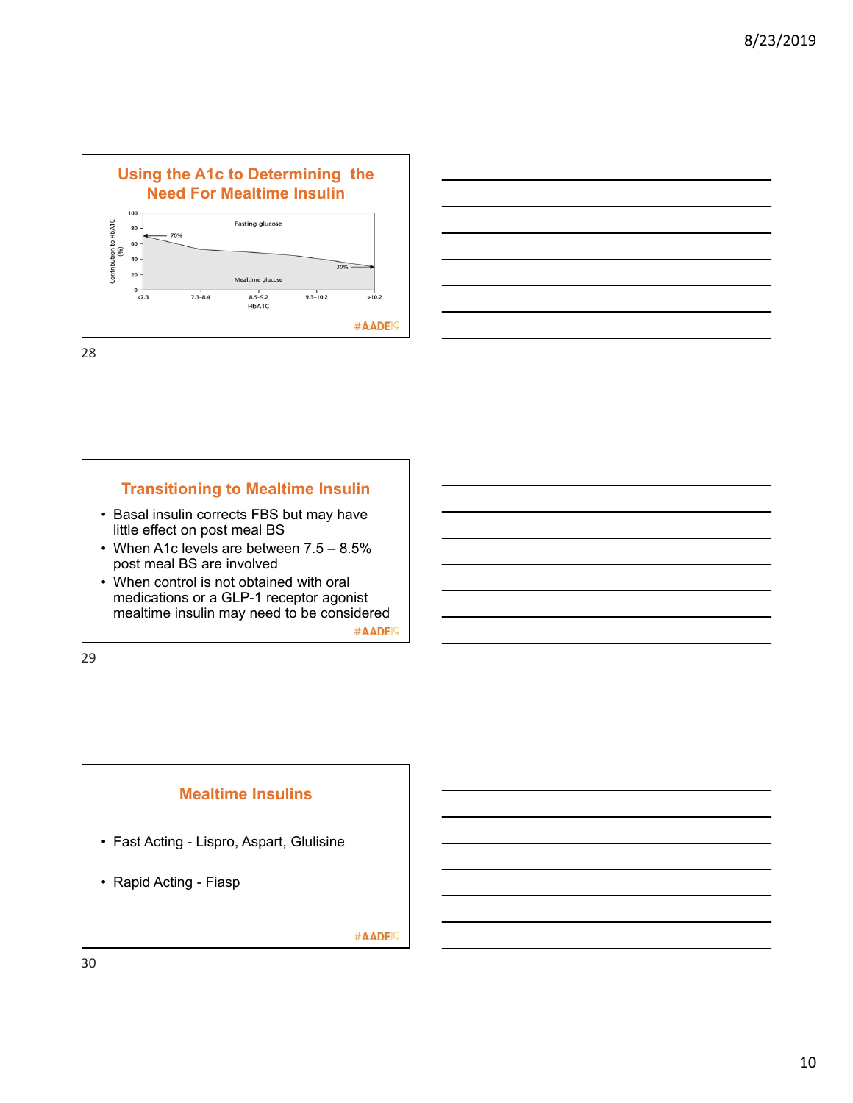



### **Transitioning to Mealtime Insulin**

- Basal insulin corrects FBS but may have little effect on post meal BS
- When A1c levels are between 7.5 8.5% post meal BS are involved
- When control is not obtained with oral medications or a GLP-1 receptor agonist mealtime insulin may need to be considered #AADE<sup>19</sup>

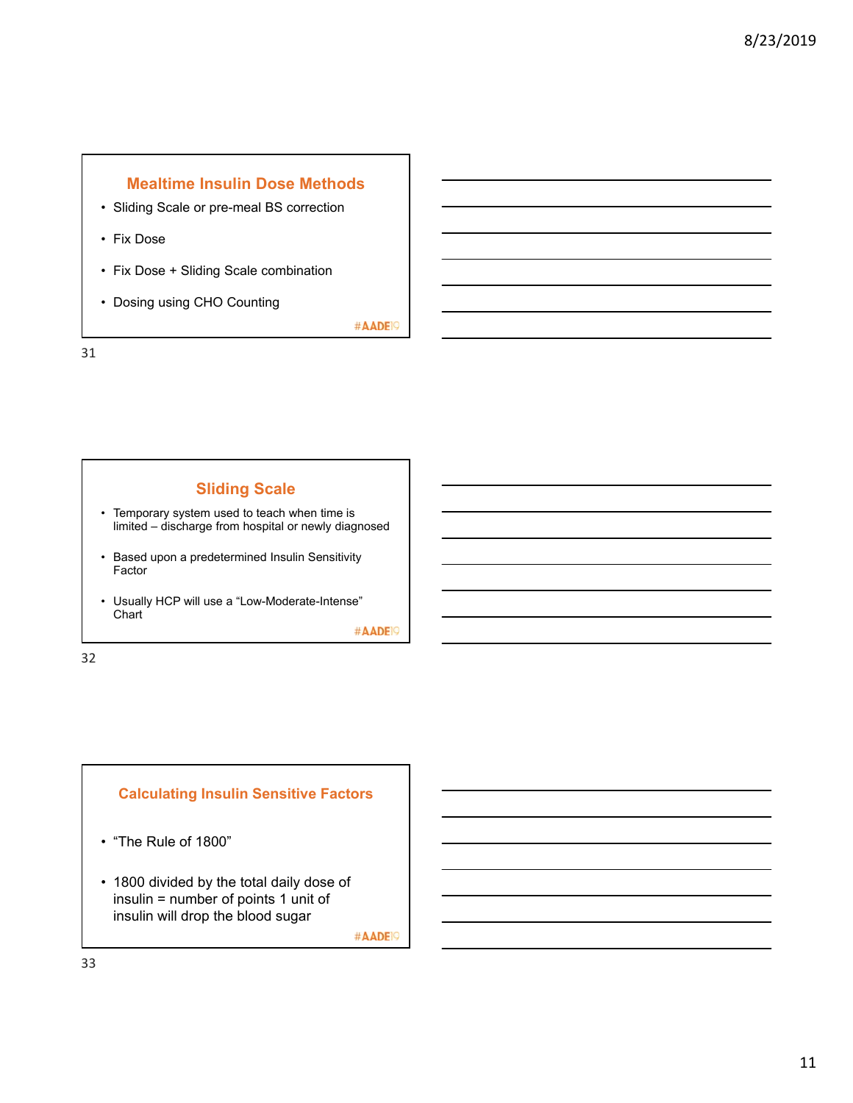# **Mealtime Insulin Dose Methods**

- Sliding Scale or pre-meal BS correction
- Fix Dose
- Fix Dose + Sliding Scale combination
- Dosing using CHO Counting

#AADE<sup>19</sup>

31

# **Sliding Scale**

- Temporary system used to teach when time is limited – discharge from hospital or newly diagnosed
- Based upon a predetermined Insulin Sensitivity Factor
- Usually HCP will use a "Low-Moderate-Intense" **Chart**

#AADE<sup>19</sup>

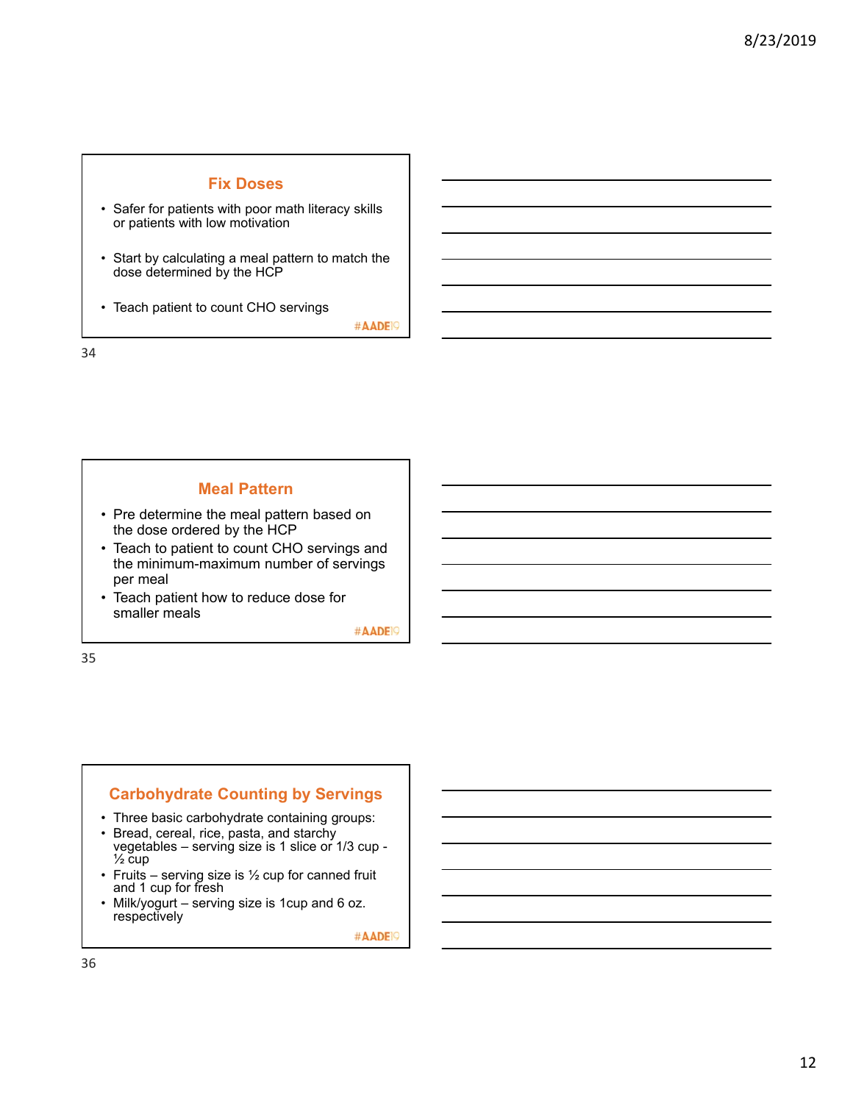### **Fix Doses**

- Safer for patients with poor math literacy skills or patients with low motivation
- Start by calculating a meal pattern to match the dose determined by the HCP
- Teach patient to count CHO servings

#AADE<sup>19</sup>

34

### **Meal Pattern**

- Pre determine the meal pattern based on the dose ordered by the HCP
- Teach to patient to count CHO servings and the minimum-maximum number of servings per meal
- Teach patient how to reduce dose for smaller meals

#AADE<sup>19</sup>

35

# **Carbohydrate Counting by Servings**

- Three basic carbohydrate containing groups:
- Bread, cereal, rice, pasta, and starchy vegetables – serving size is 1 slice or 1/3 cup -  $\frac{1}{2}$  cup
- Fruits serving size is  $\frac{1}{2}$  cup for canned fruit and 1 cup for fresh
- Milk/yogurt serving size is 1cup and 6 oz. respectively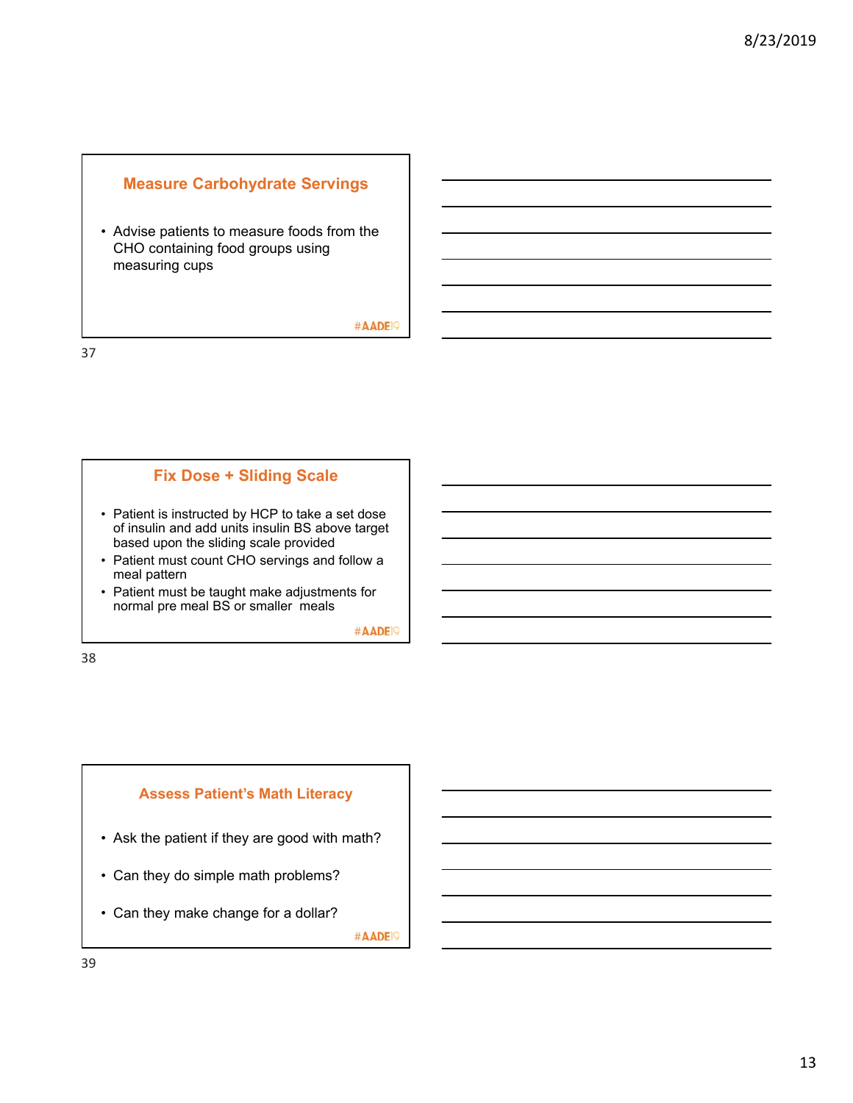### **Measure Carbohydrate Servings**

• Advise patients to measure foods from the CHO containing food groups using measuring cups

#AADE<sup>19</sup>

37

### **Fix Dose + Sliding Scale**

- Patient is instructed by HCP to take a set dose of insulin and add units insulin BS above target based upon the sliding scale provided
- Patient must count CHO servings and follow a meal pattern
- Patient must be taught make adjustments for normal pre meal BS or smaller meals

#AADE<sup>19</sup>

38

# **Assess Patient's Math Literacy**

- Ask the patient if they are good with math?
- Can they do simple math problems?
- Can they make change for a dollar?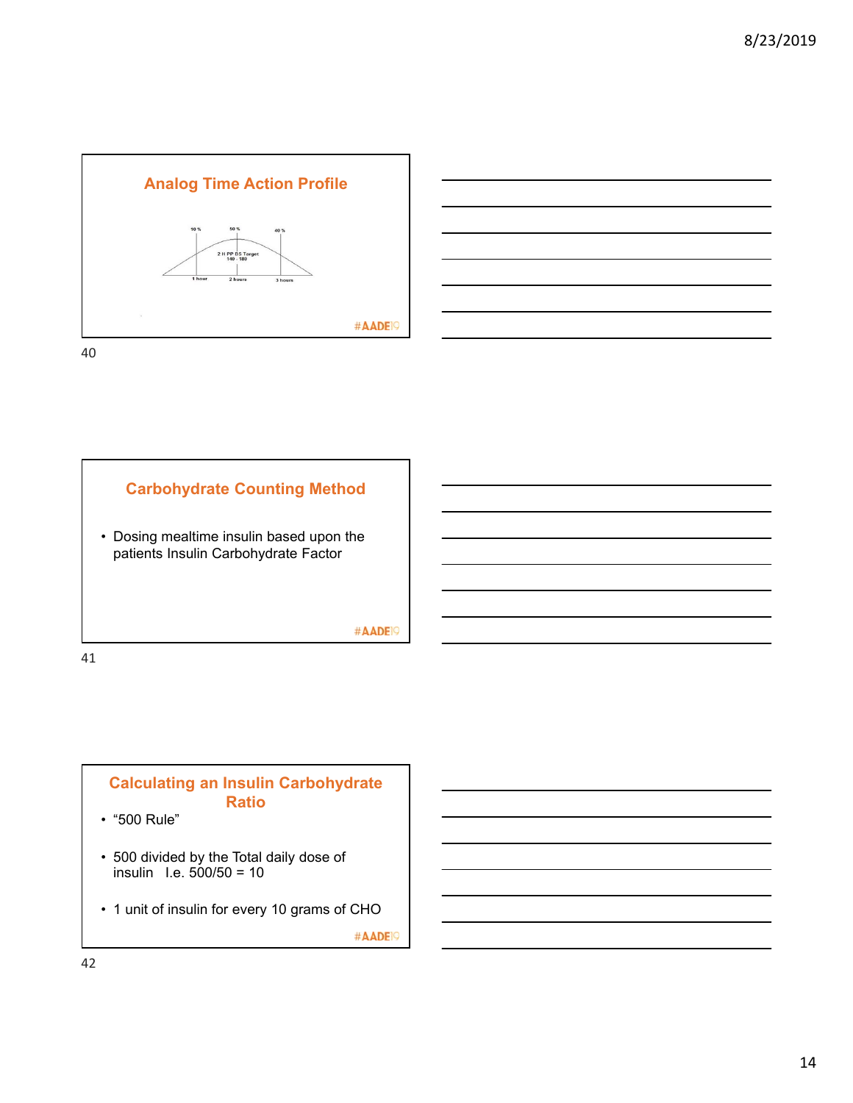



**Carbohydrate Counting Method**  • Dosing mealtime insulin based upon the patients Insulin Carbohydrate Factor #AADE<sup>19</sup> 41

# **Calculating an Insulin Carbohydrate Ratio**

- "500 Rule"
- 500 divided by the Total daily dose of insulin I.e. 500/50 = 10
- 1 unit of insulin for every 10 grams of CHO

#AADE<sup>19</sup>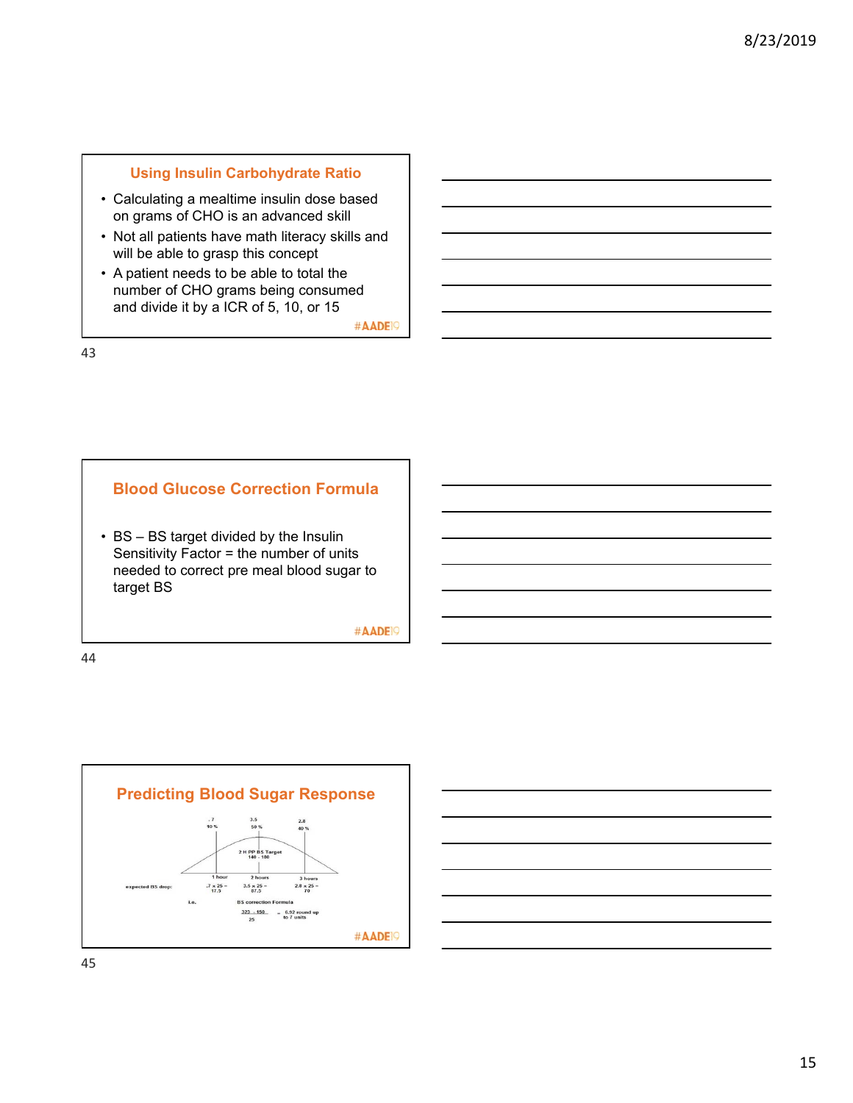### **Using Insulin Carbohydrate Ratio**

- Calculating a mealtime insulin dose based on grams of CHO is an advanced skill
- Not all patients have math literacy skills and will be able to grasp this concept
- A patient needs to be able to total the number of CHO grams being consumed and divide it by a ICR of 5, 10, or 15

#AADE<sup>19</sup>

43

### **Blood Glucose Correction Formula**

• BS – BS target divided by the Insulin Sensitivity Factor = the number of units needed to correct pre meal blood sugar to target BS

#AADE<sup>19</sup>





45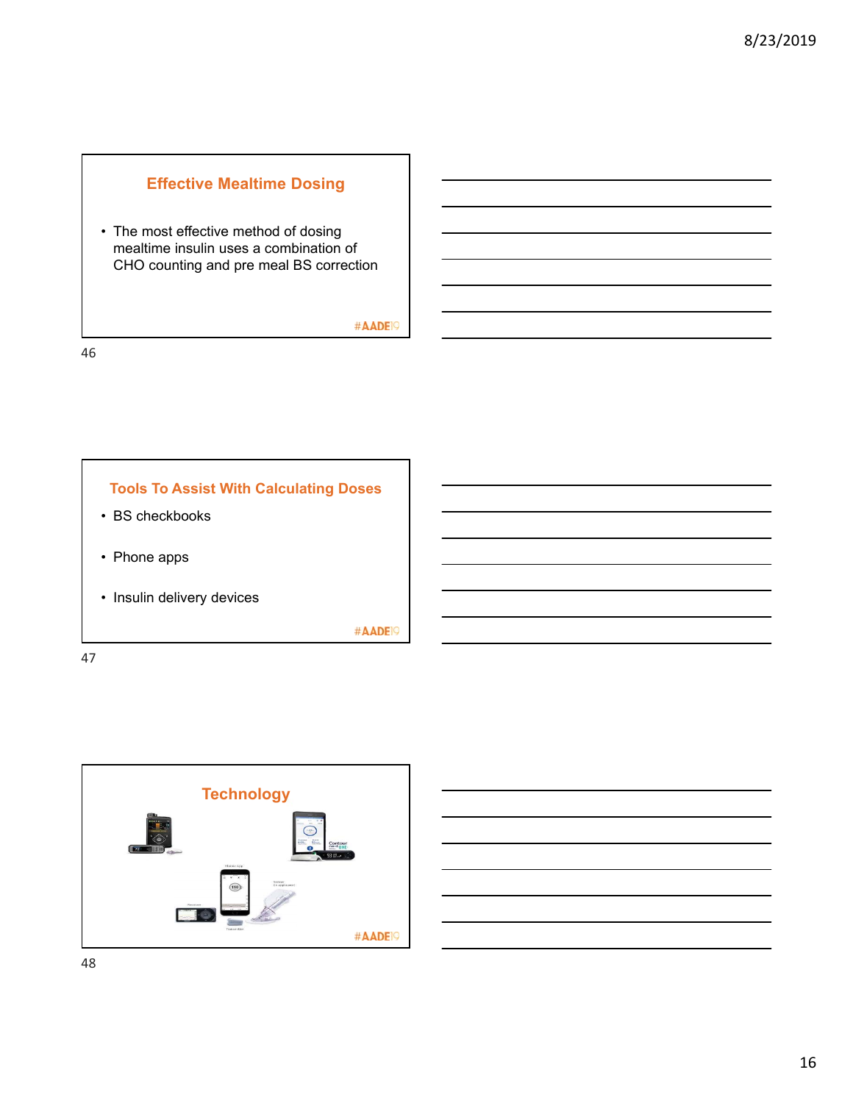# **Effective Mealtime Dosing**

• The most effective method of dosing mealtime insulin uses a combination of CHO counting and pre meal BS correction

#AADE<sup>19</sup>

46



47